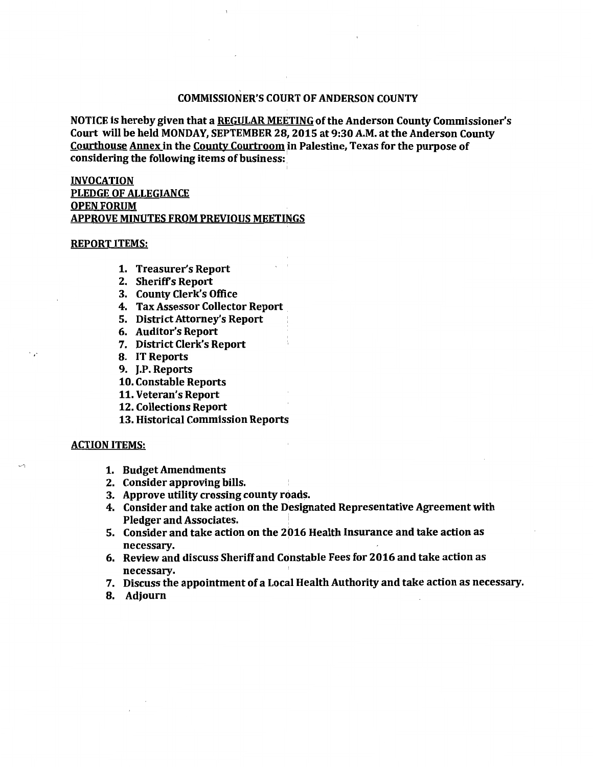## COMMISSIONER'S COURT OF ANDERSON COUNTY

NOTICE is hereby given that a REGULAR MEETING of the Anderson County Commissioner's Court will be held MONDAY, SEPTEMBER 28, 2015 at 9:30A.M. at the Anderson County Courthouse Annex in the County Courtroom in Palestine, Texas for the purpose of considering the following items of business:

## INVOCATION PLEDGE OF ALLEGIANCE OPEN FORUM APPROVE MINUTES FROM PREVIOUS MEETINGS

## REPORT ITEMS:

- 1. Treasurer's Report
- 2. Sheriffs Report
- 3. County Clerk's Office
- 4. Tax Assessor Collector Report
- 5. District Attorney's Report
- 6. Auditor's Report
- 7. District Clerk's Report
- 8. IT Reports
- 9. J.P. Reports
- 10. Constable Reports
- 11. Veteran's Report
- 12. Collections Report
- 13. Historical Commission Reports

## ACTION ITEMS:

 $\mathcal{L}$ 

 $\ddot{\phantom{0}}$ 

- 1. Budget Amendments
- 2. Consider approving bills.
- 3. Approve utility crossing county roads.
- 4. Consider and take action on the Designated Representative Agreement with Pledger and Associates. '
- 5. Consider and take action on the 2016 Health Insurance and take action as necessary.
- 6. Review and discuss Sheriff and Constable Fees for 2016 and take action as necessary.
- 7. Discuss the appointment of a Local Health Authority and take action as necessary.
- 8. Adjourn